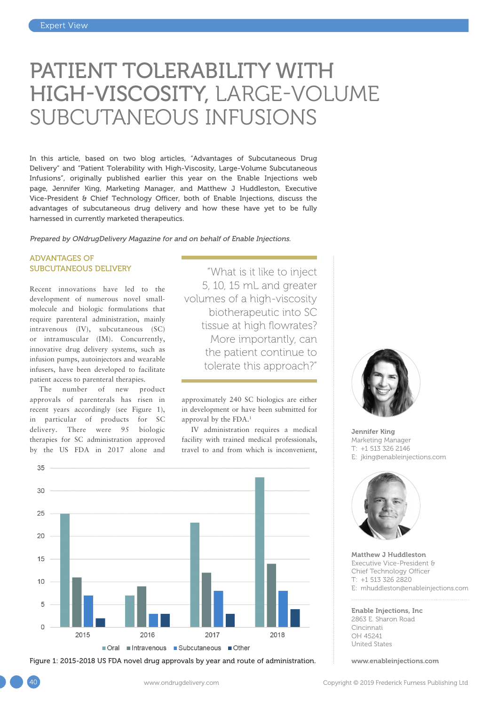# PATIENT TOLERABILITY WITH HIGH-VISCOSITY, LARGE-VOLUME SUBCUTANEOUS INFUSIONS

In this article, based on two blog articles, "Advantages of Subcutaneous Drug Delivery" and "Patient Tolerability with High-Viscosity, Large-Volume Subcutaneous Infusions", originally published earlier this year on the Enable Injections web page, Jennifer King, Marketing Manager, and Matthew J Huddleston, Executive Vice-President & Chief Technology Officer, both of Enable Injections, discuss the advantages of subcutaneous drug delivery and how these have yet to be fully harnessed in currently marketed therapeutics.

Prepared by ONdrugDelivery Magazine for and on behalf of Enable Injections.

## ADVANTAGES OF SUBCUTANEOUS DELIVERY

Recent innovations have led to the development of numerous novel smallmolecule and biologic formulations that require parenteral administration, mainly intravenous (IV), subcutaneous (SC) or intramuscular (IM). Concurrently, innovative drug delivery systems, such as infusion pumps, autoinjectors and wearable infusers, have been developed to facilitate patient access to parenteral therapies.

The number of new product approvals of parenterals has risen in recent years accordingly (see Figure 1), in particular of products for SC delivery. There were 95 biologic therapies for SC administration approved by the US FDA in 2017 alone and

"What is it like to inject 5, 10, 15 mL and greater volumes of a high-viscosity biotherapeutic into SC tissue at high flowrates? More importantly, can the patient continue to tolerate this approach?"

approximately 240 SC biologics are either in development or have been submitted for approval by the FDA.1

IV administration requires a medical facility with trained medical professionals, travel to and from which is inconvenient,



Figure 1: 2015-2018 US FDA novel drug approvals by year and route of administration. When [www.enableinjections.com](http://www.enableinjections.com)



Jennifer King Marketing Manager T: +1 513 326 2146 E: [jking@enableinjections.com](mailto:jking@enableinjections.com)



Matthew J Huddleston Executive Vice-President & Chief Technology Officer T: +1 513 326 2820 E: [mhuddleston@enableinjections.com](mailto:mhuddleston@enableinjections.com)

Enable Injections, Inc 2863 E. Sharon Road Cincinnati OH 45241 United States

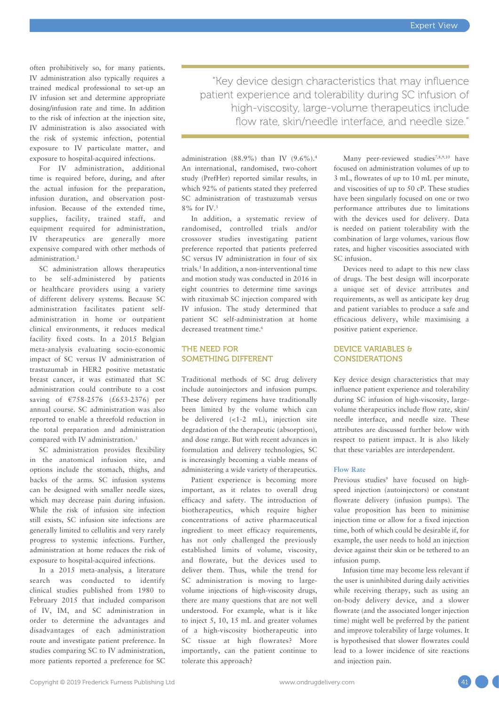often prohibitively so, for many patients. IV administration also typically requires a trained medical professional to set-up an IV infusion set and determine appropriate dosing/infusion rate and time. In addition to the risk of infection at the injection site, IV administration is also associated with the risk of systemic infection, potential exposure to IV particulate matter, and exposure to hospital-acquired infections.

For IV administration, additional time is required before, during, and after the actual infusion for the preparation, infusion duration, and observation postinfusion. Because of the extended time, supplies, facility, trained staff, and equipment required for administration, IV therapeutics are generally more expensive compared with other methods of administration.2

SC administration allows therapeutics to be self-administered by patients or healthcare providers using a variety of different delivery systems. Because SC administration facilitates patient selfadministration in home or outpatient clinical environments, it reduces medical facility fixed costs. In a 2015 Belgian meta-analysis evaluating socio-economic impact of SC versus IV administration of trastuzumab in HER2 positive metastatic breast cancer, it was estimated that SC administration could contribute to a cost saving of €758-2576 (£653-2376) per annual course. SC administration was also reported to enable a threefold reduction in the total preparation and administration compared with IV administration.<sup>3</sup>

SC administration provides flexibility in the anatomical infusion site, and options include the stomach, thighs, and backs of the arms. SC infusion systems can be designed with smaller needle sizes, which may decrease pain during infusion. While the risk of infusion site infection still exists, SC infusion site infections are generally limited to cellulitis and very rarely progress to systemic infections. Further, administration at home reduces the risk of exposure to hospital-acquired infections.

In a 2015 meta-analysis, a literature search was conducted to identify clinical studies published from 1980 to February 2015 that included comparison of IV, IM, and SC administration in order to determine the advantages and disadvantages of each administration route and investigate patient preference. In studies comparing SC to IV administration, more patients reported a preference for SC

"Key device design characteristics that may influence patient experience and tolerability during SC infusion of high-viscosity, large-volume therapeutics include flow rate, skin/needle interface, and needle size."

administration (88.9%) than IV  $(9.6\%)$ .<sup>4</sup> An international, randomised, two-cohort study (PrefHer) reported similar results, in which 92% of patients stated they preferred SC administration of trastuzumab versus 8% for IV.3

In addition, a systematic review of randomised, controlled trials and/or crossover studies investigating patient preference reported that patients preferred SC versus IV administration in four of six trials.<sup>5</sup> In addition, a non-interventional time and motion study was conducted in 2016 in eight countries to determine time savings with rituximab SC injection compared with IV infusion. The study determined that patient SC self-administration at home decreased treatment time.<sup>6</sup>

# THE NEED FOR SOMETHING DIFFERENT

Traditional methods of SC drug delivery include autoinjectors and infusion pumps. These delivery regimens have traditionally been limited by the volume which can be delivered (<1-2 mL), injection site degradation of the therapeutic (absorption), and dose range. But with recent advances in formulation and delivery technologies, SC is increasingly becoming a viable means of administering a wide variety of therapeutics.

Patient experience is becoming more important, as it relates to overall drug efficacy and safety. The introduction of biotherapeutics, which require higher concentrations of active pharmaceutical ingredient to meet efficacy requirements, has not only challenged the previously established limits of volume, viscosity, and flowrate, but the devices used to deliver them. Thus, while the trend for SC administration is moving to largevolume injections of high-viscosity drugs, there are many questions that are not well understood. For example, what is it like to inject 5, 10, 15 mL and greater volumes of a high-viscosity biotherapeutic into SC tissue at high flowrates? More importantly, can the patient continue to tolerate this approach?

Many peer-reviewed studies<sup>7,8,9,10</sup> have focused on administration volumes of up to 3 mL, flowrates of up to 10 mL per minute, and viscosities of up to 50 cP. These studies have been singularly focused on one or two performance attributes due to limitations with the devices used for delivery. Data is needed on patient tolerability with the combination of large volumes, various flow rates, and higher viscosities associated with SC infusion.

Devices need to adapt to this new class of drugs. The best design will incorporate a unique set of device attributes and requirements, as well as anticipate key drug and patient variables to produce a safe and efficacious delivery, while maximising a positive patient experience.

# DEVICE VARIABLES & CONSIDERATIONS

Key device design characteristics that may influence patient experience and tolerability during SC infusion of high-viscosity, largevolume therapeutics include flow rate, skin/ needle interface, and needle size. These attributes are discussed further below with respect to patient impact. It is also likely that these variables are interdependent.

#### **Flow Rate**

Previous studies<sup>9</sup> have focused on highspeed injection (autoinjectors) or constant flowrate delivery (infusion pumps). The value proposition has been to minimise injection time or allow for a fixed injection time, both of which could be desirable if, for example, the user needs to hold an injection device against their skin or be tethered to an infusion pump.

Infusion time may become less relevant if the user is uninhibited during daily activities while receiving therapy, such as using an on-body delivery device, and a slower flowrate (and the associated longer injection time) might well be preferred by the patient and improve tolerability of large volumes. It is hypothesised that slower flowrates could lead to a lower incidence of site reactions and injection pain.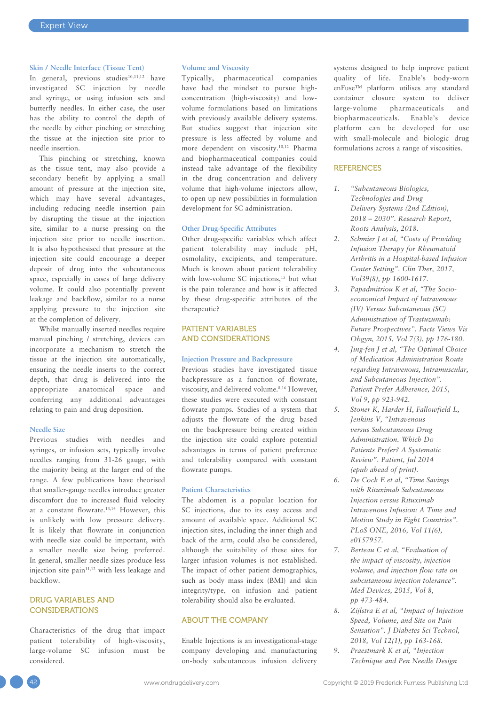#### **Skin / Needle Interface (Tissue Tent)**

In general, previous studies<sup>10,11,12</sup> have investigated SC injection by needle and syringe, or using infusion sets and butterfly needles. In either case, the user has the ability to control the depth of the needle by either pinching or stretching the tissue at the injection site prior to needle insertion.

This pinching or stretching, known as the tissue tent, may also provide a secondary benefit by applying a small amount of pressure at the injection site, which may have several advantages, including reducing needle insertion pain by disrupting the tissue at the injection site, similar to a nurse pressing on the injection site prior to needle insertion. It is also hypothesised that pressure at the injection site could encourage a deeper deposit of drug into the subcutaneous space, especially in cases of large delivery volume. It could also potentially prevent leakage and backflow, similar to a nurse applying pressure to the injection site at the completion of delivery.

Whilst manually inserted needles require manual pinching / stretching, devices can incorporate a mechanism to stretch the tissue at the injection site automatically, ensuring the needle inserts to the correct depth, that drug is delivered into the appropriate anatomical space and conferring any additional advantages relating to pain and drug deposition.

#### **Needle Size**

Previous studies with needles and syringes, or infusion sets, typically involve needles ranging from 31-26 gauge, with the majority being at the larger end of the range. A few publications have theorised that smaller-gauge needles introduce greater discomfort due to increased fluid velocity at a constant flowrate.13,14 However, this is unlikely with low pressure delivery. It is likely that flowrate in conjunction with needle size could be important, with a smaller needle size being preferred. In general, smaller needle sizes produce less injection site  $\text{pain}^{11,12}$  with less leakage and backflow.

# DRUG VARIABLES AND **CONSIDERATIONS**

Characteristics of the drug that impact patient tolerability of high-viscosity, large-volume SC infusion must be considered.

#### **Volume and Viscosity**

Typically, pharmaceutical companies have had the mindset to pursue highconcentration (high-viscosity) and lowvolume formulations based on limitations with previously available delivery systems. But studies suggest that injection site pressure is less affected by volume and more dependent on viscosity.10,12 Pharma and biopharmaceutical companies could instead take advantage of the flexibility in the drug concentration and delivery volume that high-volume injectors allow, to open up new possibilities in formulation development for SC administration.

#### **Other Drug-Specific Attributes**

Other drug-specific variables which affect patient tolerability may include pH, osmolality, excipients, and temperature. Much is known about patient tolerability with low-volume SC injections,<sup>15</sup> but what is the pain tolerance and how is it affected by these drug-specific attributes of the therapeutic?

# PATIENT VARIABLES AND CONSIDERATIONS

#### **Injection Pressure and Backpressure**

Previous studies have investigated tissue backpressure as a function of flowrate, viscosity, and delivered volume.8,16 However, these studies were executed with constant flowrate pumps. Studies of a system that adjusts the flowrate of the drug based on the backpressure being created within the injection site could explore potential advantages in terms of patient preference and tolerability compared with constant flowrate pumps.

## **Patient Characteristics**

The abdomen is a popular location for SC injections, due to its easy access and amount of available space. Additional SC injection sites, including the inner thigh and back of the arm, could also be considered, although the suitability of these sites for larger infusion volumes is not established. The impact of other patient demographics, such as body mass index (BMI) and skin integrity/type, on infusion and patient tolerability should also be evaluated.

# ABOUT THE COMPANY

Enable Injections is an investigational-stage company developing and manufacturing on-body subcutaneous infusion delivery

systems designed to help improve patient quality of life. Enable's body-worn enFuse™ platform utilises any standard container closure system to deliver large-volume pharmaceuticals and biopharmaceuticals. Enable's device platform can be developed for use with small-molecule and biologic drug formulations across a range of viscosities.

#### **REFERENCES**

- *1. "Subcutaneous Biologics, Technologies and Drug Delivery Systems (2nd Edition), 2018 – 2030". Research Report, Roots Analysis, 2018.*
- *2. Schmier J et al, "Costs of Providing Infusion Therapy for Rheumatoid Arthritis in a Hospital-based Infusion Center Setting". Clin Ther, 2017, Vol39(8), pp 1600-1617.*
- *3. Papadmitriou K et al, "The Socioeconomical Impact of Intravenous (IV) Versus Subcutaneous (SC) Administration of Trastuzumab: Future Prospectives". Facts Views Vis Obgyn, 2015, Vol 7(3), pp 176-180.*
- *4. Jing-fen J et al, "The Optimal Choice of Medication Administration Route regarding Intravenous, Intramuscular, and Subcutaneous Injection". Patient Prefer Adherence, 2015, Vol 9, pp 923-942.*
- *5. Stoner K, Harder H, Fallowfield L, Jenkins V, "Intravenous versus Subcutaneous Drug Administration. Which Do Patients Prefer? A Systematic Review". Patient, Jul 2014 (epub ahead of print).*
- *6. De Cock E et al, "Time Savings with Rituximab Subcutaneous Injection versus Rituximab Intravenous Infusion: A Time and Motion Study in Eight Countries". PLoS ONE, 2016, Vol 11(6), e0157957.*
- *7. Berteau C et al, "Evaluation of the impact of viscosity, injection volume, and injection flow rate on subcutaneous injection tolerance". Med Devices, 2015, Vol 8, pp 473-484.*
- *8. Zijlstra E et al, "Impact of Injection Speed, Volume, and Site on Pain Sensation". J Diabetes Sci Technol, 2018, Vol 12(1), pp 163-168.*
- *9. Praestmark K et al, "Injection Technique and Pen Needle Design*